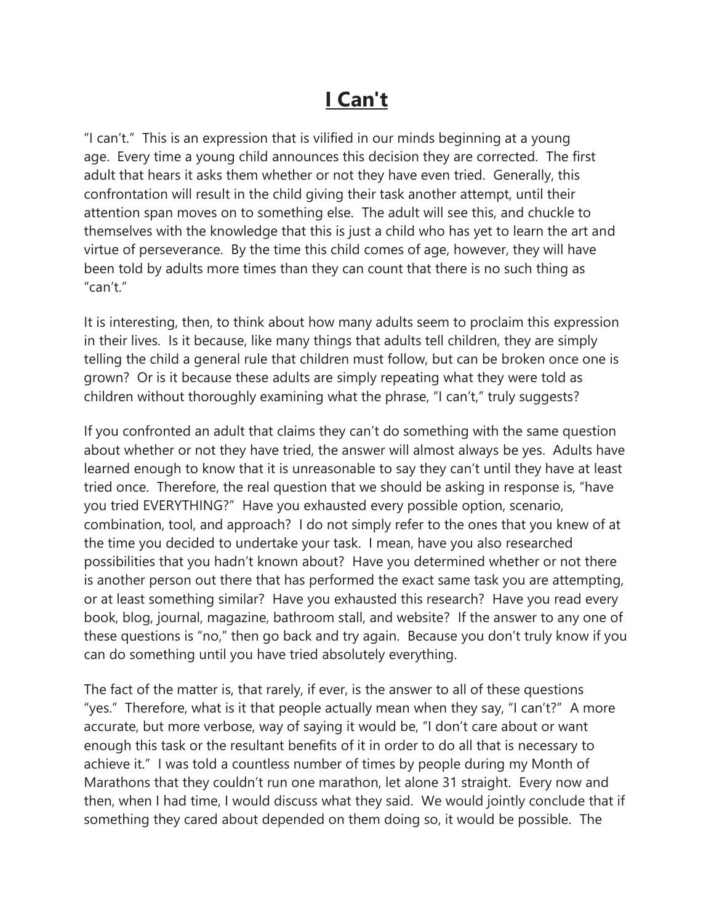## **I Can't**

"I can't." This is an expression that is vilified in our minds beginning at a young age. Every time a young child announces this decision they are corrected. The first adult that hears it asks them whether or not they have even tried. Generally, this confrontation will result in the child giving their task another attempt, until their attention span moves on to something else. The adult will see this, and chuckle to themselves with the knowledge that this is just a child who has yet to learn the art and virtue of perseverance. By the time this child comes of age, however, they will have been told by adults more times than they can count that there is no such thing as  $"can't"$ 

It is interesting, then, to think about how many adults seem to proclaim this expression in their lives. Is it because, like many things that adults tell children, they are simply telling the child a general rule that children must follow, but can be broken once one is grown? Or is it because these adults are simply repeating what they were told as children without thoroughly examining what the phrase, "I can't," truly suggests?

If you confronted an adult that claims they can't do something with the same question about whether or not they have tried, the answer will almost always be yes. Adults have learned enough to know that it is unreasonable to say they can't until they have at least tried once. Therefore, the real question that we should be asking in response is, "have you tried EVERYTHING?" Have you exhausted every possible option, scenario, combination, tool, and approach? I do not simply refer to the ones that you knew of at the time you decided to undertake your task. I mean, have you also researched possibilities that you hadn't known about? Have you determined whether or not there is another person out there that has performed the exact same task you are attempting, or at least something similar? Have you exhausted this research? Have you read every book, blog, journal, magazine, bathroom stall, and website? If the answer to any one of these questions is "no," then go back and try again. Because you don't truly know if you can do something until you have tried absolutely everything.

The fact of the matter is, that rarely, if ever, is the answer to all of these questions "yes." Therefore, what is it that people actually mean when they say, "I can't?" A more accurate, but more verbose, way of saying it would be, "I don't care about or want enough this task or the resultant benefits of it in order to do all that is necessary to achieve it." I was told a countless number of times by people during my Month of Marathons that they couldn't run one marathon, let alone 31 straight. Every now and then, when I had time, I would discuss what they said. We would jointly conclude that if something they cared about depended on them doing so, it would be possible. The